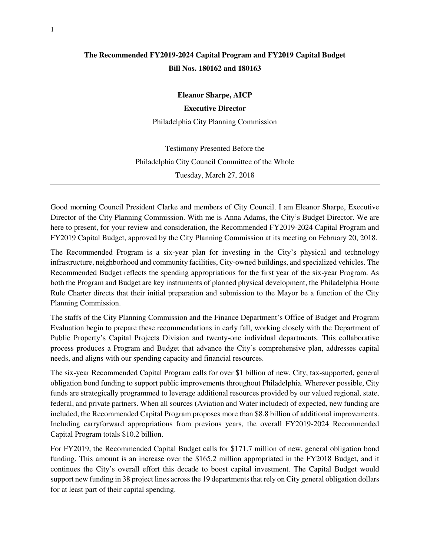## **The Recommended FY2019-2024 Capital Program and FY2019 Capital Budget Bill Nos. 180162 and 180163**

**Eleanor Sharpe, AICP** 

**Executive Director** 

Philadelphia City Planning Commission

Testimony Presented Before the Philadelphia City Council Committee of the Whole Tuesday, March 27, 2018

Good morning Council President Clarke and members of City Council. I am Eleanor Sharpe, Executive Director of the City Planning Commission. With me is Anna Adams, the City's Budget Director. We are here to present, for your review and consideration, the Recommended FY2019-2024 Capital Program and FY2019 Capital Budget, approved by the City Planning Commission at its meeting on February 20, 2018.

The Recommended Program is a six-year plan for investing in the City's physical and technology infrastructure, neighborhood and community facilities, City-owned buildings, and specialized vehicles. The Recommended Budget reflects the spending appropriations for the first year of the six-year Program. As both the Program and Budget are key instruments of planned physical development, the Philadelphia Home Rule Charter directs that their initial preparation and submission to the Mayor be a function of the City Planning Commission.

The staffs of the City Planning Commission and the Finance Department's Office of Budget and Program Evaluation begin to prepare these recommendations in early fall, working closely with the Department of Public Property's Capital Projects Division and twenty-one individual departments. This collaborative process produces a Program and Budget that advance the City's comprehensive plan, addresses capital needs, and aligns with our spending capacity and financial resources.

The six-year Recommended Capital Program calls for over \$1 billion of new, City, tax-supported, general obligation bond funding to support public improvements throughout Philadelphia. Wherever possible, City funds are strategically programmed to leverage additional resources provided by our valued regional, state, federal, and private partners. When all sources (Aviation and Water included) of expected, new funding are included, the Recommended Capital Program proposes more than \$8.8 billion of additional improvements. Including carryforward appropriations from previous years, the overall FY2019-2024 Recommended Capital Program totals \$10.2 billion.

For FY2019, the Recommended Capital Budget calls for \$171.7 million of new, general obligation bond funding. This amount is an increase over the \$165.2 million appropriated in the FY2018 Budget, and it continues the City's overall effort this decade to boost capital investment. The Capital Budget would support new funding in 38 project lines across the 19 departments that rely on City general obligation dollars for at least part of their capital spending.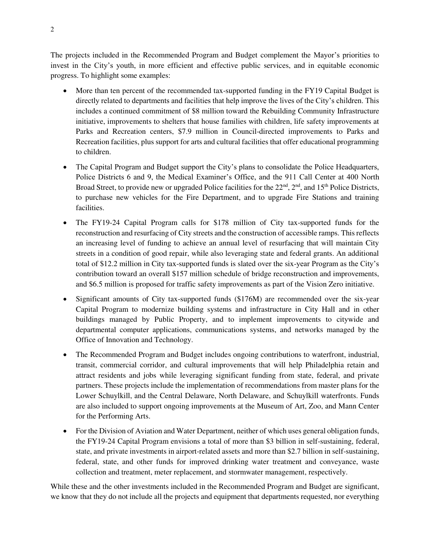The projects included in the Recommended Program and Budget complement the Mayor's priorities to invest in the City's youth, in more efficient and effective public services, and in equitable economic progress. To highlight some examples:

- More than ten percent of the recommended tax-supported funding in the FY19 Capital Budget is directly related to departments and facilities that help improve the lives of the City's children. This includes a continued commitment of \$8 million toward the Rebuilding Community Infrastructure initiative, improvements to shelters that house families with children, life safety improvements at Parks and Recreation centers, \$7.9 million in Council-directed improvements to Parks and Recreation facilities, plus support for arts and cultural facilities that offer educational programming to children.
- The Capital Program and Budget support the City's plans to consolidate the Police Headquarters, Police Districts 6 and 9, the Medical Examiner's Office, and the 911 Call Center at 400 North Broad Street, to provide new or upgraded Police facilities for the  $22<sup>nd</sup>$ ,  $2<sup>nd</sup>$ , and  $15<sup>th</sup>$  Police Districts, to purchase new vehicles for the Fire Department, and to upgrade Fire Stations and training facilities.
- The FY19-24 Capital Program calls for \$178 million of City tax-supported funds for the reconstruction and resurfacing of City streets and the construction of accessible ramps. This reflects an increasing level of funding to achieve an annual level of resurfacing that will maintain City streets in a condition of good repair, while also leveraging state and federal grants. An additional total of \$12.2 million in City tax-supported funds is slated over the six-year Program as the City's contribution toward an overall \$157 million schedule of bridge reconstruction and improvements, and \$6.5 million is proposed for traffic safety improvements as part of the Vision Zero initiative.
- Significant amounts of City tax-supported funds (\$176M) are recommended over the six-year Capital Program to modernize building systems and infrastructure in City Hall and in other buildings managed by Public Property, and to implement improvements to citywide and departmental computer applications, communications systems, and networks managed by the Office of Innovation and Technology.
- The Recommended Program and Budget includes ongoing contributions to waterfront, industrial, transit, commercial corridor, and cultural improvements that will help Philadelphia retain and attract residents and jobs while leveraging significant funding from state, federal, and private partners. These projects include the implementation of recommendations from master plans for the Lower Schuylkill, and the Central Delaware, North Delaware, and Schuylkill waterfronts. Funds are also included to support ongoing improvements at the Museum of Art, Zoo, and Mann Center for the Performing Arts.
- For the Division of Aviation and Water Department, neither of which uses general obligation funds, the FY19-24 Capital Program envisions a total of more than \$3 billion in self-sustaining, federal, state, and private investments in airport-related assets and more than \$2.7 billion in self-sustaining, federal, state, and other funds for improved drinking water treatment and conveyance, waste collection and treatment, meter replacement, and stormwater management, respectively.

While these and the other investments included in the Recommended Program and Budget are significant, we know that they do not include all the projects and equipment that departments requested, nor everything